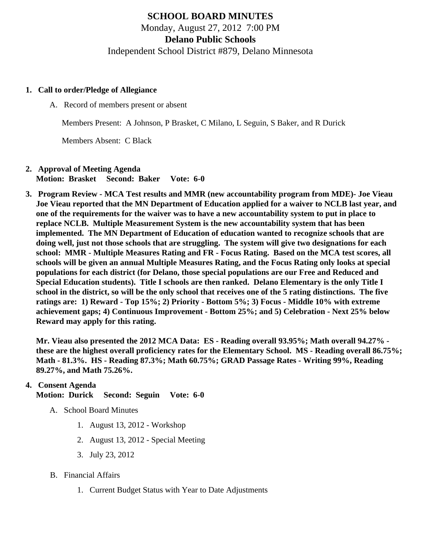# SCHOOL BOARD MINUTES Monday, August 27, 2012 7:00 PM Delano Public Schools Independent School District #879, Delano Minnesota

- 1. Call to order/Pledge of Allegiance
	- A. Record of members present or absent

Members Present: A Johnson, P Brasket, C Milano, L Seguin, S Baker, and R Durick

Members Absent: C Black

- 2. Approval of Meeting Agenda Motion: Brasket Second: Baker Vote: 6-0
- 3. Program Review MCA Test results and MMR (new accountability program from MDE)- Joe Vieau Joe Vieau reported that the MN Department of Education applied for a waiver to NCLB last year, and one of the requirements for the waiver was to have a new accountability system to put in place to replace NCLB. Multiple Measurement System is the new accountability system that has been implemented. The MN Department of Education of education wanted to recognize schools that are doing well, just not those schools that are struggling. The system will give two designations for each school: MMR - Multiple Measures Rating and FR - Focus Rating. Based on the MCA test scores, all schools will be given an annual Multiple Measures Rating, and the Focus Rating only looks at special populations for each district (for Delano, those special populations are our Free and Reduced and Special Education students). Title I schools are then ranked. Delano Elementary is the only Title I school in the district, so will be the only school that receives one of the 5 rating distinctions. The five ratings are: 1) Reward - Top 15%; 2) Priority - Bottom 5%; 3) Focus - Middle 10% with extreme achievement gaps; 4) Continuous Improvement - Bottom 25%; and 5) Celebration - Next 25% below Reward may apply for this rating.

Mr. Vieau also presented the 2012 MCA Data: ES - Reading overall 93.95%; Math overall 94.27% these are the highest overall proficiency rates for the Elementary School. MS - Reading overall 86.75%; Math - 81.3%. HS - Reading 87.3%; Math 60.75%; GRAD Passage Rates - Writing 99%, Reading 89.27%, and Math 75.26%.

# 4. Consent Agenda

Motion: Durick Second: Seguin Vote: 6-0

- A. School Board Minutes
	- 1. [August 13, 201](/docs/district/Business_Office/Board_Minutes_8.13.12-2.pdf)2 Workshop
	- 2. [August 13, 201](/docs/district/Business_Office/Board_Minutes_8.13.1-1.pdf)2 Special Meeting
	- 3. [July 23, 2012](/docs/district/Business_Office/July_23_2012_Board_Meeting_Minutes.pdf)
- B. Financial Affairs
	- 1. Curre[nt Budget](/docs/district/Business_Office/Budget_Report_8.27.12.pdf) [S](/docs/district/Business_Office/Budget_Report_8.27.12.pdf)tatus with Year to Date Adjustments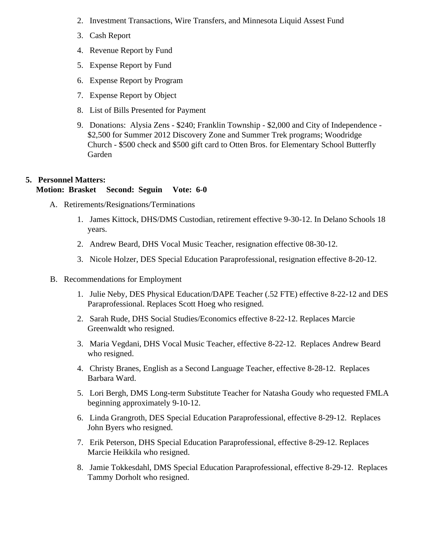- 2. [Investment Transactio](/docs/district/Business_Office/Investment_Schedule_2012-13.pdf)n Wire Tra[ns](/docs/district/Business_Office/Wire_Transfer.pdf)fers an[d Minnesota Liquid Assest Fu](/docs/district/Business_Office/LiqAFY12.pdf)nd
- 3. [Cash Repo](/docs/district/Business_Office/July_2012.pdf)rt
- 4. [Revenue Report by Fu](/docs/district/Business_Office/REVENUE_BY_FUND_TOTAL.pdf)nd
- 5. [Expense Report by Fu](/docs/district/Business_Office/EXP_BY_FUND_TOTAL.pdf)nd
- 6. [Expense Report by Progra](/docs/district/Business_Office/EXPENDITURES_BY_PROGRAM.pdf)m
- 7. [Expense Report by Obje](/docs/district/Business_Office/EXPENDITURES_BY_OBJECT.pdf)ct
- 8. List of [Bills Presented for Payme](/docs/district/Business_Office/DETAIL_OF_MONTHLY_BILLS_PRESENTED_FOR_PAYMENT.pdf)nt
- 9. Donations: Alysia Zens \$240; Franklin Township \$2,000 and City of Independence \$2,500 for Summer 2012 Discovery Zone and Summer Trek programs; Woodridge Church - \$500 check and \$500 gift card to Otten Bros. for Elementary School Butterfly Garden
- 5. Personnel Matters:

Motion: Brasket Second: Seguin Vote: 6-0

- A. Retirements/Resignations/Terminations
	- 1. James Kittock, DHS/DMS Custodian, retirement effective 9-30-12. In Delano Schools 18 years.
	- 2. Andrew Beard, DHS Vocal Music Teacher, resignation effective 08-30-12.
	- 3. Nicole Holzer, DES Special Education Paraprofessional, resignation effective 8-20-12.
- B. Recommendations for Employment
	- 1. Julie Neby, DES Physical Education/DAPE Teacher (.52 FTE) effective 8-22-12 and DES Paraprofessional. Replaces Scott Hoeg who resigned.
	- 2. Sarah Rude, DHS Social Studies/Economics effective 8-22-12. Replaces Marcie Greenwaldt who resigned.
	- 3. Maria Vegdani, DHS Vocal Music Teacher, effective 8-22-12. Replaces Andrew Beard who resigned.
	- 4. Christy Branes, English as a Second Language Teacher, effective 8-28-12. Replaces Barbara Ward.
	- 5. Lori Bergh, DMS Long-term Substitute Teacher for Natasha Goudy who requested FMLA beginning approximately 9-10-12.
	- 6. Linda Grangroth, DES Special Education Paraprofessional, effective 8-29-12. Replaces John Byers who resigned.
	- 7. Erik Peterson, DHS Special Education Paraprofessional, effective 8-29-12. Replaces Marcie Heikkila who resigned.
	- 8. Jamie Tokkesdahl, DMS Special Education Paraprofessional, effective 8-29-12. Replaces Tammy Dorholt who resigned.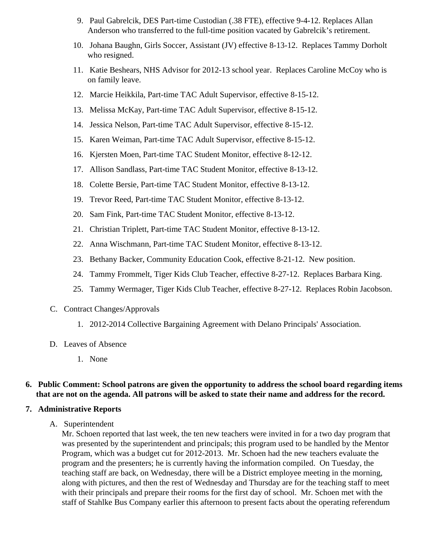- 9. Paul Gabrelcik, DES Part-time Custodian (.38 FTE), effective 9-4-12. Replaces Allan Anderson who transferred to the full-time position vacated by Gabrelcik's retirement.
- 10. Johana Baughn, Girls Soccer, Assistant (JV) effective 8-13-12. Replaces Tammy Dorholt who resigned.
- 11. Katie Beshears, NHS Advisor for 2012-13 school year. Replaces Caroline McCoy who is on family leave.
- 12. Marcie Heikkila, Part-time TAC Adult Supervisor, effective 8-15-12.
- 13. Melissa McKay, Part-time TAC Adult Supervisor, effective 8-15-12.
- 14. Jessica Nelson, Part-time TAC Adult Supervisor, effective 8-15-12.
- 15. Karen Weiman, Part-time TAC Adult Supervisor, effective 8-15-12.
- 16. Kjersten Moen, Part-time TAC Student Monitor, effective 8-12-12.
- 17. Allison Sandlass, Part-time TAC Student Monitor, effective 8-13-12.
- 18. Colette Bersie, Part-time TAC Student Monitor, effective 8-13-12.
- 19. Trevor Reed, Part-time TAC Student Monitor, effective 8-13-12.
- 20. Sam Fink, Part-time TAC Student Monitor, effective 8-13-12.
- 21. Christian Triplett, Part-time TAC Student Monitor, effective 8-13-12.
- 22. Anna Wischmann, Part-time TAC Student Monitor, effective 8-13-12.
- 23. Bethany Backer, Community Education Cook, effective 8-21-12. New position.
- 24. Tammy Frommelt, Tiger Kids Club Teacher, effective 8-27-12. Replaces Barbara King.
- 25. Tammy Wermager, Tiger Kids Club Teacher, effective 8-27-12. Replaces Robin Jacobson.
- C. Contract Changes/Approvals
	- 1. 2012-2014 Collective Bargaining Agreement with Delano Principals' Association.
- D. Leaves of Absence
	- 1. None

#### **6. Public Comment: School patrons are given the opportunity to address the school board regarding items that are not on the agenda. All patrons will be asked to state their name and address for the record.**

#### **7. Administrative Reports**

A. Superintendent

Mr. Schoen reported that last week, the ten new teachers were invited in for a two day program that was presented by the superintendent and principals; this program used to be handled by the Mentor Program, which was a budget cut for 2012-2013. Mr. Schoen had the new teachers evaluate the program and the presenters; he is currently having the information compiled. On Tuesday, the teaching staff are back, on Wednesday, there will be a District employee meeting in the morning, along with pictures, and then the rest of Wednesday and Thursday are for the teaching staff to meet with their principals and prepare their rooms for the first day of school. Mr. Schoen met with the staff of Stahlke Bus Company earlier this afternoon to present facts about the operating referendum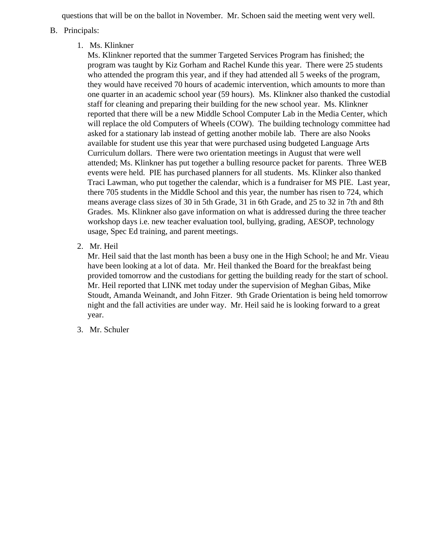questions that will be on the ballot in November. Mr. Schoen said the meeting went very well.

- B. Principals:
	- 1. Ms. Klinkner

Ms. Klinkner reported that the summer Targeted Services Program has finished; the program was taught by Kiz Gorham and Rachel Kunde this year. There were 25 students who attended the program this year, and if they had attended all 5 weeks of the program, they would have received 70 hours of academic intervention, which amounts to more than one quarter in an academic school year (59 hours). Ms. Klinkner also thanked the custodial staff for cleaning and preparing their building for the new school year. Ms. Klinkner reported that there will be a new Middle School Computer Lab in the Media Center, which will replace the old Computers of Wheels (COW). The building technology committee had asked for a stationary lab instead of getting another mobile lab. There are also Nooks available for student use this year that were purchased using budgeted Language Arts Curriculum dollars. There were two orientation meetings in August that were well attended; Ms. Klinkner has put together a bulling resource packet for parents. Three WEB events were held. PIE has purchased planners for all students. Ms. Klinker also thanked Traci Lawman, who put together the calendar, which is a fundraiser for MS PIE. Last year, there 705 students in the Middle School and this year, the number has risen to 724, which means average class sizes of 30 in 5th Grade, 31 in 6th Grade, and 25 to 32 in 7th and 8th Grades. Ms. Klinkner also gave information on what is addressed during the three teacher workshop days i.e. new teacher evaluation tool, bullying, grading, AESOP, technology usage, Spec Ed training, and parent meetings.

2. Mr. Heil

Mr. Heil said that the last month has been a busy one in the High School; he and Mr. Vieau have been looking at a lot of data. Mr. Heil thanked the Board for the breakfast being provided tomorrow and the custodians for getting the building ready for the start of school. Mr. Heil reported that LINK met today under the supervision of Meghan Gibas, Mike Stoudt, Amanda Weinandt, and John Fitzer. 9th Grade Orientation is being held tomorrow night and the fall activities are under way. Mr. Heil said he is looking forward to a great year.

3. Mr. Schuler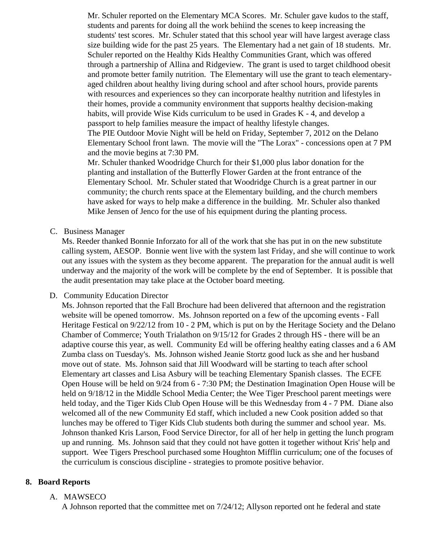Mr. Schuler reported on the Elementary MCA Scores. Mr. Schuler gave kudos to the staff, students and parents for doing all the work behiind the scenes to keep increasing the students' test scores. Mr. Schuler stated that this school year will have largest average class size building wide for the past 25 years. The Elementary had a net gain of 18 students. Mr. Schuler reported on the Healthy Kids Healthy Communities Grant, which was offered through a partnership of Allina and Ridgeview. The grant is used to target childhood obesit and promote better family nutrition. The Elementary will use the grant to teach elementaryaged children about healthy living during school and after school hours, provide parents with resources and experiences so they can incorporate healthy nutrition and lifestyles in their homes, provide a community environment that supports healthy decision-making habits, will provide Wise Kids curriculum to be used in Grades K - 4, and develop a passport to help families measure the impact of healthy lifestyle changes. The PIE Outdoor Movie Night will be held on Friday, September 7, 2012 on the Delano Elementary School front lawn. The movie will the "The Lorax" - concessions open at 7 PM and the movie begins at 7:30 PM.

Mr. Schuler thanked Woodridge Church for their \$1,000 plus labor donation for the planting and installation of the Butterfly Flower Garden at the front entrance of the Elementary School. Mr. Schuler stated that Woodridge Church is a great partner in our community; the church rents space at the Elementary building, and the church members have asked for ways to help make a difference in the building. Mr. Schuler also thanked Mike Jensen of Jenco for the use of his equipment during the planting process.

### C. Business Manager

Ms. Reeder thanked Bonnie Inforzato for all of the work that she has put in on the new substitute calling system, AESOP. Bonnie went live with the system last Friday, and she will continue to work out any issues with the system as they become apparent. The preparation for the annual audit is well underway and the majority of the work will be complete by the end of September. It is possible that the audit presentation may take place at the October board meeting.

#### D. Community Education Director

Ms. Johnson reported that the Fall Brochure had been delivered that afternoon and the registration website will be opened tomorrow. Ms. Johnson reported on a few of the upcoming events - Fall Heritage Festical on 9/22/12 from 10 - 2 PM, which is put on by the Heritage Society and the Delano Chamber of Commerce; Youth Trialathon on 9/15/12 for Grades 2 through HS - there will be an adaptive course this year, as well. Community Ed will be offering healthy eating classes and a 6 AM Zumba class on Tuesday's. Ms. Johnson wished Jeanie Stortz good luck as she and her husband move out of state. Ms. Johnson said that Jill Woodward will be starting to teach after school Elementary art classes and Lisa Asbury will be teaching Elementary Spanish classes. The ECFE Open House will be held on 9/24 from 6 - 7:30 PM; the Destination Imagination Open House will be held on 9/18/12 in the Middle School Media Center; the Wee Tiger Preschool parent meetings were held today, and the Tiger Kids Club Open House will be this Wednesday from 4 - 7 PM. Diane also welcomed all of the new Community Ed staff, which included a new Cook position added so that lunches may be offered to Tiger Kids Club students both during the summer and school year. Ms. Johnson thanked Kris Larson, Food Service Director, for all of her help in getting the lunch program up and running. Ms. Johnson said that they could not have gotten it together without Kris' help and support. Wee Tigers Preschool purchased some Houghton Mifflin curriculum; one of the focuses of the curriculum is conscious discipline - strategies to promote positive behavior.

### **8. Board Reports**

### A. MAWSECO

A Johnson reported that the committee met on 7/24/12; Allyson reported ont he federal and state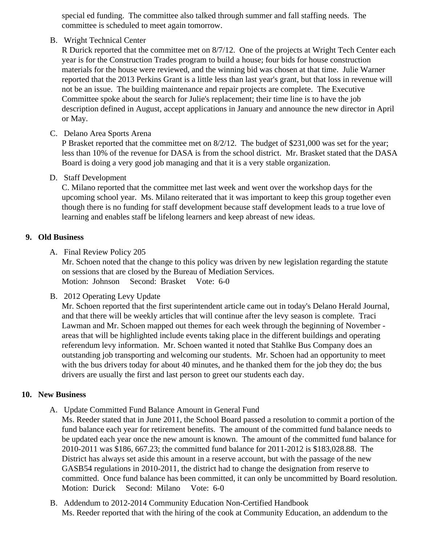special ed funding. The committee also talked through summer and fall staffing needs. The committee is scheduled to meet again tomorrow.

B. Wright Technical Center

R Durick reported that the committee met on 8/7/12. One of the projects at Wright Tech Center ea year is for the Construction Trades program to build a house; four bids for house construction materials for the house were reviewed, and the winning bid was chosen at that time. Julie Warner reported that the 2013 Perkins Grant is a little less than last year's grant, but that loss in revenue w not be an issue. The building maintenance and repair projects are complete. The Executive Committee spoke about the search for Julie's replacement; their time line is to have the job description defined in August, accept applications in January and announce the new director in Ap or May.

C. Delano Area Sports Arena

P Brasket reported that the committee met on 8/2/12. The budget of \$231,000 was set for the year less than 10% of the revenue for DASA is from the school district. Mr. Brasket stated that the DAS Board is doing a very good job managing and that it is a very stable organization.

D. Staff Development

C. Milano reported that the committee met last week and went over the workshop days for the upcoming school year. Ms. Milano reiterated that it was important to keep this group together even though there is no funding for staff development because staff development leads to a true love of learning and enables staff be lifelong learners and keep abreast of new ideas.

- 9. Old Business
	- A. Final Revie[w Policy 205](/docs/district/District_Policies/205-Open_Meetings__Closed_Meetings_Redline.pdf)

Mr. Schoen noted that the change to this policy was driven by new legislation regarding the statute on sessions that are closed by the Bureau of Mediation Services. Motion: Johnson Second: Brasket Vote: 6-0

B. 2012 Operating Levy Update

Mr. Schoen reported that the first superintendent article came out in today's Delano Herald Journal, and that there will be weekly articles that will continue after the levy season is complete. Traci Lawman and Mr. Schoen mapped out themes for each week through the beginning of November areas that will be highlighted include events taking place in the different buildings and operating referendum levy information. Mr. Schoen wanted it noted that Stahlke Bus Company does an outstanding job transporting and welcoming our students. Mr. Schoen had an opportunity to meet with the bus drivers today for about 40 minutes, and he thanked them for the job they do; the bus drivers are usually the first and last person to greet our students each day.

# 10. New Business

A. Updat[e Committed Fund Balanc](/docs/district/Business_Office/Committed_Fund_Balance_Amount.pdf)emount in General Fund

Ms. Reeder stated that in June 2011, the School Board passed a resolution to commit a portion of fund balance each year for retirement benefits. The amount of the committed fund balance needs be updated each year once the new amount is known. The amount of the committed fund balance 2010-2011 was \$186, 667.23; the committed fund balance for 2011-2012 is \$183,028.88. The District has always set aside this amount in a reserve account, but with the passage of the new GASB54 regulations in 2010-2011, the district had to change the designation from reserve to committed. Once fund balance has been committed, it can only be uncommitted by Board resolution. Motion: Durick Second: Milano Vote: 6-0

B. [Addendum to 2012-2014 Community Education Non-Certified Hand](/docs/district/Business_Office/ADDENDUM_TO_2012-2014_CE_Handbook.pdf)book Ms. Reeder reported that with the hiring of the cook at Community Education, an addendum to the